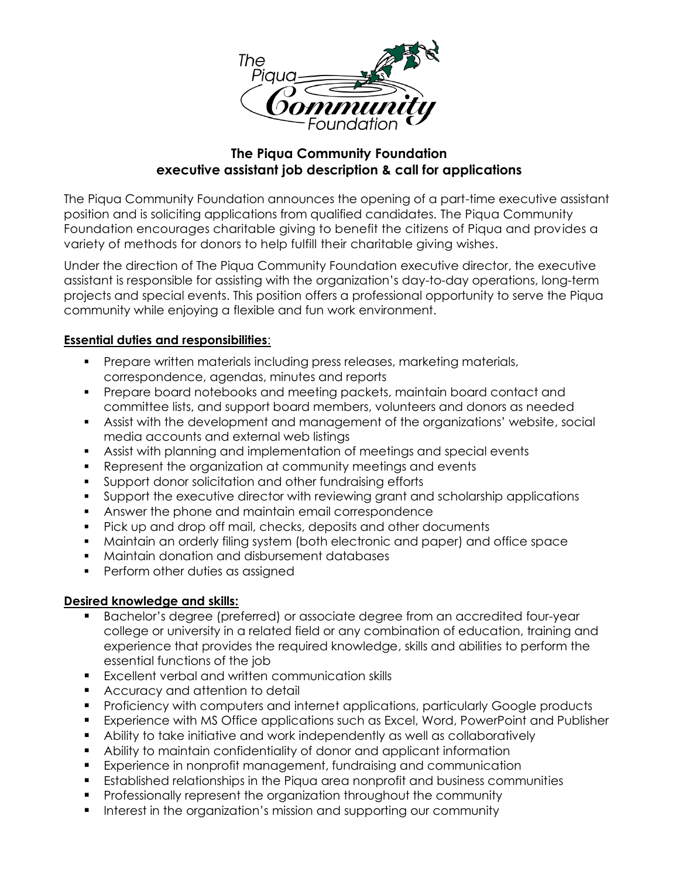

# **The Piqua Community Foundation executive assistant job description & call for applications**

The Piqua Community Foundation announces the opening of a part-time executive assistant position and is soliciting applications from qualified candidates. The Piqua Community Foundation encourages charitable giving to benefit the citizens of Piqua and provides a variety of methods for donors to help fulfill their charitable giving wishes.

Under the direction of The Piqua Community Foundation executive director, the executive assistant is responsible for assisting with the organization's day-to-day operations, long-term projects and special events. This position offers a professional opportunity to serve the Piqua community while enjoying a flexible and fun work environment.

## **Essential duties and responsibilities**:

- Prepare written materials including press releases, marketing materials, correspondence, agendas, minutes and reports
- Prepare board notebooks and meeting packets, maintain board contact and committee lists, and support board members, volunteers and donors as needed
- Assist with the development and management of the organizations' website, social media accounts and external web listings
- Assist with planning and implementation of meetings and special events
- Represent the organization at community meetings and events
- Support donor solicitation and other fundraising efforts
- Support the executive director with reviewing grant and scholarship applications
- Answer the phone and maintain email correspondence
- Pick up and drop off mail, checks, deposits and other documents
- Maintain an orderly filing system (both electronic and paper) and office space
- Maintain donation and disbursement databases
- Perform other duties as assigned

# **Desired knowledge and skills:**

- Bachelor's degree (preferred) or associate degree from an accredited four-year college or university in a related field or any combination of education, training and experience that provides the required knowledge, skills and abilities to perform the essential functions of the job |
- Excellent verbal and written communication skills
- Accuracy and attention to detail
- Proficiency with computers and internet applications, particularly Google products
- Experience with MS Office applications such as Excel, Word, PowerPoint and Publisher
- Ability to take initiative and work independently as well as collaboratively
- Ability to maintain confidentiality of donor and applicant information
- Experience in nonprofit management, fundraising and communication
- Established relationships in the Piqua area nonprofit and business communities
- Professionally represent the organization throughout the community
- **•** Interest in the organization's mission and supporting our community